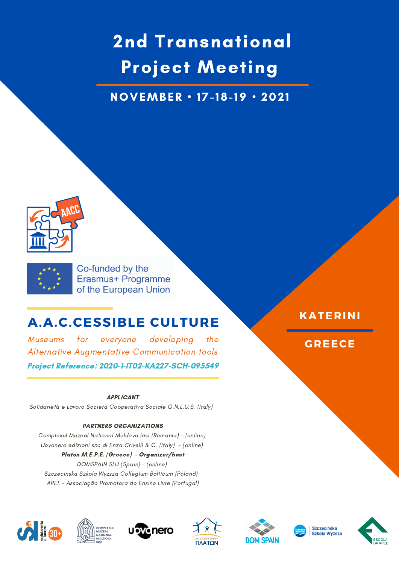# 2nd Transnational Project Meeting

NOVEMBER • 17-18-19 • 202 1





Co-funded by the Erasmus+ Programme of the European Union

# **A.A.C.CESSIBLE CULTURE**

Museums for everyone developing the Alternative Augmentative Communication tools Project Reference: 2020-1-IT02-KA227-SCH-095549

#### APPLICANT

Solidarietà e Lavoro Società Cooperativa Sociale O.N.L.U.S. (Italy)

#### PARTNERS ORGANIZATIONS

Complexul Muzeal National Moldova Iasi (Romania) - (online) Uovonero edizioni snc di Enza Crivelli & C. (Italy) - (online) Platon M.E.P.E. (Greece) - Organizer/host DOMSPAIN SLU (Spain) - (online) Szczecinska Szkola Wyzsza Collegium Balticum (Poland) APEL - Associação Promotora do Ensino Livre (Portugal)















## **KATERINI**

**GREECE**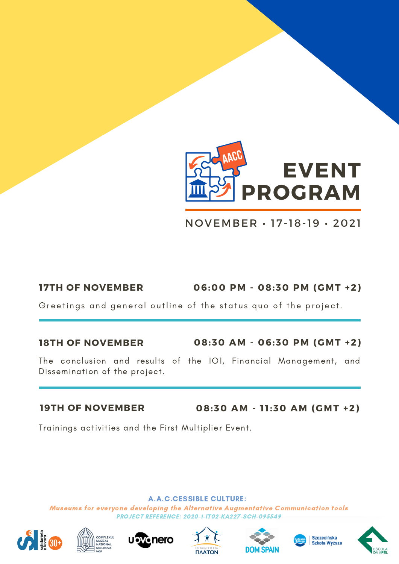

NOVEMBER • 17-18-19 • 2021

**17TH OF NOVEMBER 06:00 PM - 08:30 PM (GMT +2)**

Greetings and general outline of the status quo of the project.

### **18TH OF NOVEMBER**

**08:30 AM - 06:30 PM (GMT +2)**

The conclusion and results of the IO1, Financial Management, and Dissemination of the project.

### **19TH OF NOVEMBER**

**08:30 AM - 1 1 :30 AM (GMT +2)**

Trainings activities and the First Multiplier Event.

### A.A.C.CESSIBLE CULTURE:













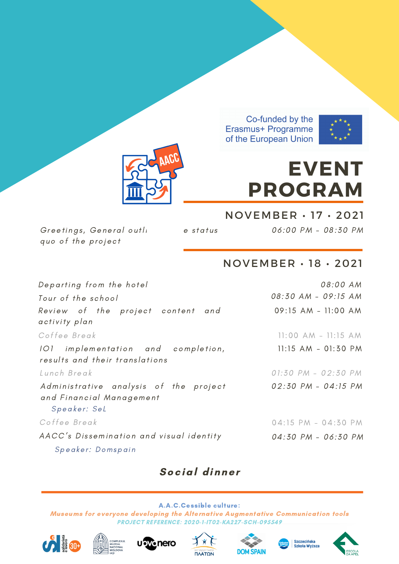

# **EVENT PROGRAM**

Greetings, General outli estatus quo of the project

06 :00 PM - 08:30 PM

# NOVEMBER • 18 • 2021

NOVEMBER • 17 • 2021

| Departing from the hotel                                                           | 08:00 AM               |
|------------------------------------------------------------------------------------|------------------------|
| Tour of the school                                                                 | 08:30 AM - 09:15 AM    |
| Review of the project content and<br>activity plan                                 | 09:15 AM - 11:00 AM    |
| Coffee Break                                                                       | $11:00$ AM $-11:15$ AM |
| 101 implementation and completion,<br>results and their translations               | $11:15$ AM - 01:30 PM  |
| Lunch Break                                                                        | 01:30 PM - 02:30 PM    |
| Administrative analysis of the project<br>and Financial Management<br>Speaker: SeL | 02:30 PM - 04:15 PM    |
| Coffee Break                                                                       | 04:15 PM - 04:30 PM    |
| AACC's Dissemination and visual identity<br>Speaker: Domspain                      | 04:30 PM - 06:30 PM    |

# Social dinner













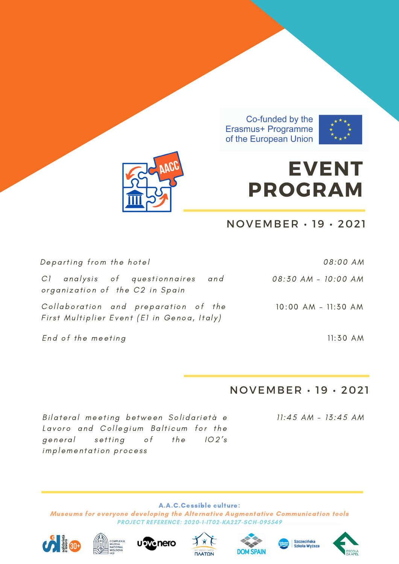



# **EVENT PROGRAM**

# $NOVEMBER \cdot 19 \cdot 2021$

| Departing from the hotel                                                            | 08:00 AM            |
|-------------------------------------------------------------------------------------|---------------------|
| C1 analysis of questionnaires and<br>organization of the C2 in Spain                | 08:30 AM - 10:00 AM |
| Collaboration and preparation of the<br>First Multiplier Event (El in Genoa, Italy) | 10:00 AM - 11:30 AM |
| End of the meeting                                                                  | $11:50$ AM          |

## $NOVEMBER \cdot 19 \cdot 2021$

Bilateral meeting between Solidarietà e Lavoro and Collegium Balticum for the setting  $the$  $102's$ general o f implementation process

 $11:45$  AM -  $13:45$  AM













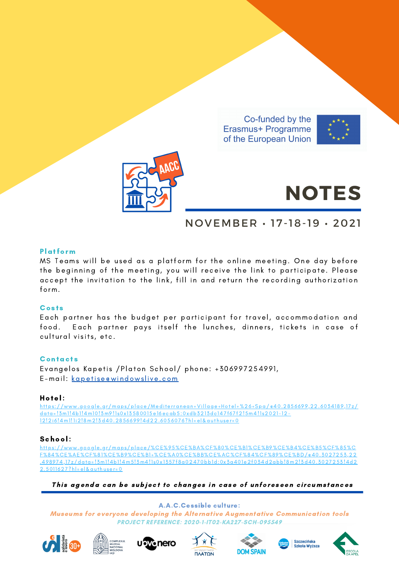



# **NOTES**

# NOVEMBER • 17-18-19 • 2021

#### Platform

MS Teams will be used as a platform for the online meeting. One day before the beginning of the meeting, you will receive the link to participate. Please accept the invitation to the link, fill in and return the recording authorization form.

#### **Costs**

Each partner has the budget per participant for travel, accommodation and food. Each partner pays itself the lunches, dinners, tickets in case of cultural visits, etc.

#### **Contacts**

Evangelos Kapetis / Platon School/ phone: +306997254991, E-mail: kapetise@windowsli[ve.com](mailto:kapetise@windowslive.com)

#### Hotel:

https[://www.google.gr/maps/place/Mediterranean](https://www.google.gr/maps/place/Mediterranean+Village+Hotel+%26+Spa/@40.2856699,22.6034189,17z/data=!3m1!4b1!4m10!3m9!1s0x13580015e16ecab5:0xdb3213dc147f67f2!5m4!1s2021-12-12!2i6!4m1!1i2!8m2!3d40.2856699!4d22.6056076?hl=el&authuser=0)+Village+Hotel+%26+Spa/@40.2856699,22.6034189,17z/ data=!3m1!4b1!4m10!3m9!1s0x13580015e16ecab5:0xdb3213dc147f67f2!5m4!1s2021-12-12!2i6!4m1!1i2!8m2!3d40.2856699!4d22.6056076?hl=el&authuser=0

#### School:

h ttps [://www.google.gr/maps/place/%CE%95%CE%BA%CF%80%CE%B1%CE%B9%CE%B4%CE%B5%CF%85%C](https://www.google.gr/maps/place/%CE%95%CE%BA%CF%80%CE%B1%CE%B9%CE%B4%CE%B5%CF%85%CF%84%CE%AE%CF%81%CE%B9%CE%B1+%CE%A0%CE%BB%CE%AC%CF%84%CF%89%CE%BD/@40.3027253,22.498974,17z/data=!3m1!4b1!4m5!3m4!1s0x1357f8a02470bb1d:0x3a401e2f034d2abb!8m2!3d40.3027253!4d22.5011627?hl=el&authuser=0) F%84%CE%AE%CF%81%CE%B9%CE%B1 +%CE%A0%CE%BB%CE%AC%CF%84%CF%89%CE%BD/@40. 3027253,22 .4989 74,1 7 z/data= ! 3m1!4b1!4m5! 3m4!1 s0x 1 357 f8a02470bb1d:0x 3a401e2f034d2abb!8m2! 3d40. 3027253 !4d2  $2.5011627?$ hl=el&quthuser=0

This agenda can be subject to changes in case of unforeseen circumstances

A.A.C.Cessible culture:













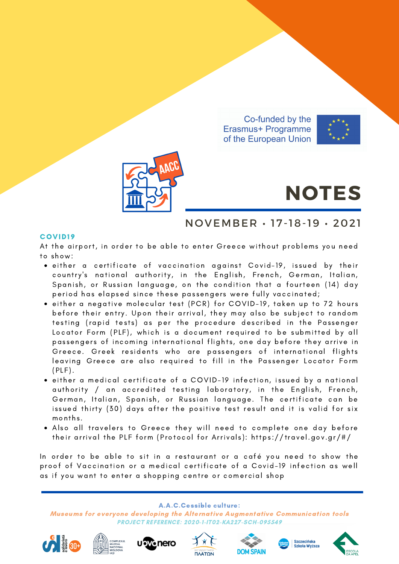



# **NOTES**

## NOVEMBER • 17-18-19 • 2021

#### COVID19

At the airport, in order to be able to enter Greece without problems you need to show:

- either a certificate of vaccination against Covid-19, issued by their country's national authority, in the English, French, German, Italian, Spanish, or Russian language, on the condition that a fourteen (14) day period has elapsed since these passengers were fully vaccinated;
- . either a negative molecular test (PCR) for COVID-19, taken up to 72 hours before their entry. Upon their arrival, they may also be subject to random testing (rapid tests) as per the procedure described in the Passenger Locator Form (PLF), which is a document required to be submitted by all passengers of incoming international flights, one day before they arrive in Greece. Greek residents who are passengers of international flights leaving Greece are also required to fill in the Passenger Locator Form  $(PLE)$ .
- either a medical certificate of a COVID-19 infection, issued by a national authority / an accredited testing laboratory, in the English, French, German, Italian, Spanish, or Russian language. The certificate can be issued thirty (30) days after the positive test result and it is valid for six months.
- Also all travelers to Greece they will need to complete one day before their arrival the PLF form (Protocol for Arrivals): https[://travel.gov](https://travel.gov.gr/#/).gr/#/

In order to be able to sit in a restaurant or a café you need to show the proof of Vaccination or a medical certificate of a Covid-19 infection as well as if you want to enter a shopping centre or comercial shop

A.A.C.Cessible culture: